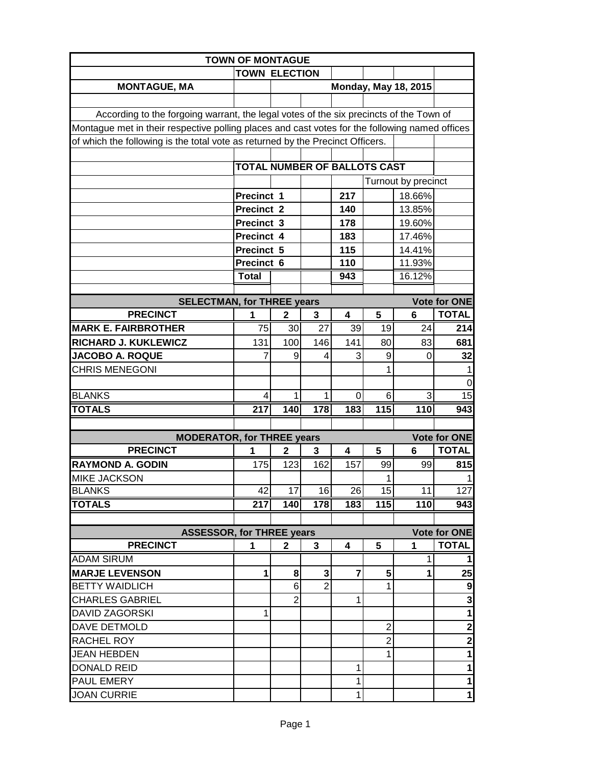| <b>TOWN OF MONTAGUE</b>                                                                        |                                     |                |                 |                |                                  |                             |                                                    |  |
|------------------------------------------------------------------------------------------------|-------------------------------------|----------------|-----------------|----------------|----------------------------------|-----------------------------|----------------------------------------------------|--|
|                                                                                                | <b>TOWN ELECTION</b>                |                |                 |                |                                  |                             |                                                    |  |
| <b>MONTAGUE, MA</b>                                                                            |                                     |                |                 |                |                                  | <b>Monday, May 18, 2015</b> |                                                    |  |
|                                                                                                |                                     |                |                 |                |                                  |                             |                                                    |  |
| According to the forgoing warrant, the legal votes of the six precincts of the Town of         |                                     |                |                 |                |                                  |                             |                                                    |  |
| Montague met in their respective polling places and cast votes for the following named offices |                                     |                |                 |                |                                  |                             |                                                    |  |
| of which the following is the total vote as returned by the Precinct Officers.                 |                                     |                |                 |                |                                  |                             |                                                    |  |
|                                                                                                |                                     |                |                 |                |                                  |                             |                                                    |  |
|                                                                                                | <b>TOTAL NUMBER OF BALLOTS CAST</b> |                |                 |                |                                  |                             |                                                    |  |
|                                                                                                |                                     |                |                 |                |                                  | Turnout by precinct         |                                                    |  |
|                                                                                                | Precinct 1                          |                |                 | 217            |                                  | 18.66%                      |                                                    |  |
|                                                                                                | Precinct 2                          |                |                 | 140            |                                  | 13.85%                      |                                                    |  |
|                                                                                                | Precinct 3                          |                |                 | 178            |                                  | 19.60%                      |                                                    |  |
|                                                                                                | Precinct 4                          |                |                 | 183            |                                  | 17.46%                      |                                                    |  |
|                                                                                                | Precinct 5                          |                |                 | 115            |                                  | 14.41%                      |                                                    |  |
|                                                                                                | Precinct 6                          |                |                 | 110            |                                  | 11.93%                      |                                                    |  |
|                                                                                                | <b>Total</b>                        |                |                 | 943            |                                  | 16.12%                      |                                                    |  |
|                                                                                                |                                     |                |                 |                |                                  |                             |                                                    |  |
| <b>SELECTMAN, for THREE years</b><br><b>PRECINCT</b>                                           | 1                                   | $\mathbf{2}$   | 3               | 4              | 5                                | 6                           | <b>Vote for ONE</b><br><b>TOTAL</b>                |  |
| <b>MARK E. FAIRBROTHER</b>                                                                     | $\overline{75}$                     | 30             | $\overline{27}$ | 39             | $\overline{19}$                  | $\overline{24}$             | 214                                                |  |
| RICHARD J. KUKLEWICZ                                                                           | 131                                 | 100            | 146             | 141            | 80                               | 83                          | 681                                                |  |
| <b>JACOBO A. ROQUE</b>                                                                         | 7                                   | 9              | 4               | 3              | 9                                | 0                           | 32                                                 |  |
| <b>CHRIS MENEGONI</b>                                                                          |                                     |                |                 |                | 1                                |                             |                                                    |  |
|                                                                                                |                                     |                |                 |                |                                  |                             | 0                                                  |  |
| <b>BLANKS</b>                                                                                  | 4                                   | 1              | 1               | 0              | 6                                | 3                           | 15                                                 |  |
| <b>TOTALS</b>                                                                                  | $\overline{217}$                    | 140            | 178             | 183            | $\overline{115}$                 | 110                         | 943                                                |  |
|                                                                                                |                                     |                |                 |                |                                  |                             |                                                    |  |
| <b>MODERATOR, for THREE years</b>                                                              |                                     |                |                 |                |                                  |                             | <b>Vote for ONE</b>                                |  |
| <b>PRECINCT</b>                                                                                | 1                                   | 2              | 3               | 4              | 5                                | 6                           | <b>TOTAL</b>                                       |  |
| <b>RAYMOND A. GODIN</b>                                                                        | 175                                 | 123            | 162             | 157            | 99                               | 99                          | 815                                                |  |
| <b>MIKE JACKSON</b>                                                                            |                                     |                |                 |                | 1                                |                             | $\mathbf{1}$                                       |  |
| <b>BLANKS</b>                                                                                  | 42                                  | 17             | 16              | 26             | 15                               | 11                          | 127                                                |  |
| <b>TOTALS</b>                                                                                  | 217                                 | 140            | 178             | 183            | 115                              | 110                         | 943                                                |  |
|                                                                                                |                                     |                |                 |                |                                  |                             |                                                    |  |
| <b>ASSESSOR, for THREE years</b>                                                               |                                     |                |                 |                |                                  |                             | Vote for ONE                                       |  |
| <b>PRECINCT</b>                                                                                | 1                                   | $\mathbf{2}$   | 3               | 4              | 5                                | 1                           | <b>TOTAL</b>                                       |  |
| <b>ADAM SIRUM</b>                                                                              |                                     |                |                 |                |                                  | 1                           | 1                                                  |  |
| <b>MARJE LEVENSON</b>                                                                          | $\mathbf{1}$                        | 8              | 3               | $\overline{7}$ | 5                                | 1                           | 25                                                 |  |
| <b>BETTY WAIDLICH</b>                                                                          |                                     | 6              | $\overline{2}$  |                | 1                                |                             | $\boldsymbol{9}$<br>$\overline{3}$                 |  |
| <b>CHARLES GABRIEL</b>                                                                         |                                     | $\overline{2}$ |                 | 1              |                                  |                             |                                                    |  |
| <b>DAVID ZAGORSKI</b>                                                                          | $\mathbf{1}$                        |                |                 |                |                                  |                             | $\mathbf{1}$                                       |  |
| <b>DAVE DETMOLD</b>                                                                            |                                     |                |                 |                | $\overline{2}$<br>$\overline{2}$ |                             | $\overline{\mathbf{c}}$<br>$\overline{\mathbf{2}}$ |  |
| <b>RACHEL ROY</b><br><b>JEAN HEBDEN</b>                                                        |                                     |                |                 |                | 1                                |                             | $\mathbf{1}$                                       |  |
| <b>DONALD REID</b>                                                                             |                                     |                |                 | 1              |                                  |                             | $\mathbf{1}$                                       |  |
| <b>PAUL EMERY</b>                                                                              |                                     |                |                 | 1              |                                  |                             | $\overline{\mathbf{1}}$                            |  |
| <b>JOAN CURRIE</b>                                                                             |                                     |                |                 | 1              |                                  |                             | $\mathbf{1}$                                       |  |
|                                                                                                |                                     |                |                 |                |                                  |                             |                                                    |  |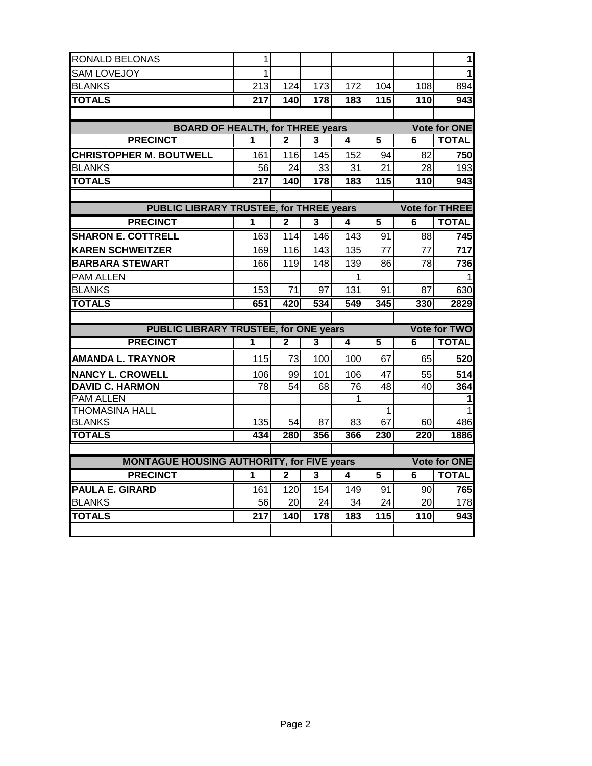| RONALD BELONAS                                    | 1                |                 |                         |                 |                         |                  | 1                     |
|---------------------------------------------------|------------------|-----------------|-------------------------|-----------------|-------------------------|------------------|-----------------------|
| <b>SAM LOVEJOY</b>                                | 1                |                 |                         |                 |                         |                  | 1                     |
| <b>BLANKS</b>                                     | 213              | 124             | 173                     | 172             | 104                     | 108              | 894                   |
| <b>TOTALS</b>                                     | 217              | 140             | 178                     | 183             | 115                     | 110              | 943                   |
|                                                   |                  |                 |                         |                 |                         |                  |                       |
| <b>BOARD OF HEALTH, for THREE years</b>           |                  |                 |                         |                 |                         |                  | <b>Vote for ONE</b>   |
| <b>PRECINCT</b>                                   | 1                | $\overline{2}$  | 3                       | 4               | 5                       | 6                | <b>TOTAL</b>          |
| <b>CHRISTOPHER M. BOUTWELL</b>                    | 161              | 116             | 145                     | 152             | 94                      | 82               | 750                   |
| <b>BLANKS</b>                                     | 56               | 24              | 33                      | 31              | 21                      | 28               | 193                   |
| <b>TOTALS</b>                                     | $\overline{217}$ | 140             | 178                     | 183             | 115                     | $\overline{110}$ | $\overline{943}$      |
|                                                   |                  |                 |                         |                 |                         |                  |                       |
| <b>PUBLIC LIBRARY TRUSTEE, for THREE years</b>    |                  |                 |                         |                 |                         |                  | <b>Vote for THREE</b> |
| <b>PRECINCT</b>                                   | 1                | $\mathbf{2}$    | 3                       | 4               | $\overline{\mathbf{5}}$ | $\overline{6}$   | <b>TOTAL</b>          |
| <b>SHARON E. COTTRELL</b>                         | 163              | 114             | 146                     | 143             | 91                      | 88               | 745                   |
| <b>KAREN SCHWEITZER</b>                           | 169              | 116             | 143                     | 135             | 77                      | 77               | 717                   |
| <b>BARBARA STEWART</b>                            | 166              | 119             | 148                     | 139             | 86                      | 78               | 736                   |
| PAM ALLEN                                         |                  |                 |                         | 1               |                         |                  |                       |
| <b>BLANKS</b>                                     | 153              | 71              | 97                      | 131             | 91                      | 87               | 630                   |
|                                                   |                  |                 |                         |                 |                         |                  |                       |
| <b>TOTALS</b>                                     | 651              | 420             | 534                     | 549             | 345                     | $\overline{3}30$ | 2829                  |
|                                                   |                  |                 |                         |                 |                         |                  |                       |
| <b>PUBLIC LIBRARY TRUSTEE, for ONE years</b>      |                  |                 |                         |                 |                         |                  | <b>Vote for TWO</b>   |
| <b>PRECINCT</b>                                   | 1                | $\overline{2}$  | $\overline{\mathbf{3}}$ | 4               | $\overline{5}$          | 6                | <b>TOTAL</b>          |
| <b>AMANDA L. TRAYNOR</b>                          | 115              | 73              | 100                     | 100             | 67                      | 65               | 520                   |
| <b>NANCY L. CROWELL</b>                           | 106              | 99              | 101                     | 106             | 47                      | 55               | 514                   |
| <b>DAVID C. HARMON</b>                            | 78               | $\overline{54}$ | 68                      | $\overline{76}$ | 48                      | 40               | 364                   |
| <b>PAM ALLEN</b>                                  |                  |                 |                         | 1               |                         |                  | 1                     |
| <b>THOMASINA HALL</b>                             |                  |                 |                         |                 | 1                       |                  | 1                     |
| <b>BLANKS</b>                                     | $\overline{135}$ | 54              | 87                      | 83              | 67                      | 60               | 486                   |
| <b>TOTALS</b>                                     | 434              | 280             | 356                     | 366             | 230                     | 220              | 1886                  |
|                                                   |                  |                 |                         |                 |                         |                  |                       |
| <b>MONTAGUE HOUSING AUTHORITY, for FIVE years</b> |                  |                 |                         |                 |                         |                  | <b>Vote for ONE</b>   |
| <b>PRECINCT</b>                                   | 1                | 2               | 3                       | 4               | 5                       | 6                | <b>TOTAL</b>          |
| <b>PAULA E. GIRARD</b>                            | 161              | 120             | 154                     | 149             | 91                      | 90               | 7651                  |
| <b>BLANKS</b>                                     | 56               | 20              | 24                      | 34              | 24                      | 20               | 178                   |
| <b>TOTALS</b>                                     | $\overline{217}$ | 140             | 178                     | 183             | 115                     | 110              | 943                   |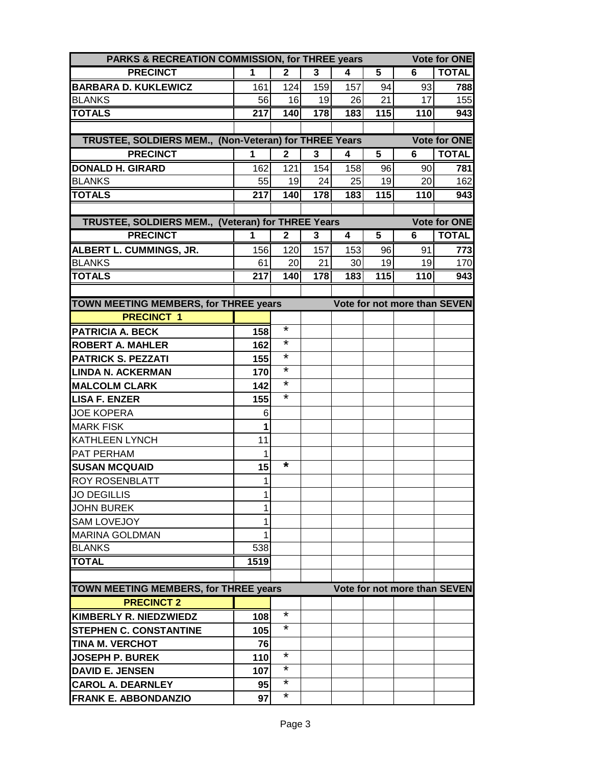| PARKS & RECREATION COMMISSION, for THREE years        |                        |              |           |           |          |                              | <b>Vote for ONE</b> |
|-------------------------------------------------------|------------------------|--------------|-----------|-----------|----------|------------------------------|---------------------|
| <b>PRECINCT</b>                                       | 1                      | $\mathbf{2}$ | 3         | 4         | 5        | 6                            | <b>TOTAL</b>        |
| <b>BARBARA D. KUKLEWICZ</b>                           | 161                    | 124          | 159       | 157       | 94       | 93                           | 788                 |
| <b>BLANKS</b>                                         | 56                     | 16           | 19        | 26        | 21       | 17                           | 155                 |
| <b>TOTALS</b>                                         | $\overline{217}$       | 140          | 178       | 183       | 115      | 110                          | 943                 |
|                                                       |                        |              |           |           |          |                              |                     |
| TRUSTEE, SOLDIERS MEM., (Non-Veteran) for THREE Years |                        |              |           |           |          |                              | <b>Vote for ONE</b> |
| <b>PRECINCT</b>                                       | 1                      | $\mathbf{2}$ | 3         | 4         | 5        | 6                            | <b>TOTAL</b>        |
| <b>DONALD H. GIRARD</b>                               | 162                    | 121          | 154       | 158       | 96       | 90                           | 781                 |
| <b>BLANKS</b>                                         | 55                     | 19           | 24        | 25        | 19       | 20                           | 162                 |
| <b>TOTALS</b>                                         | 217                    | 140          | 178       | 183       | 115      | 110                          | 943                 |
|                                                       |                        |              |           |           |          |                              |                     |
| TRUSTEE, SOLDIERS MEM., (Veteran) for THREE Years     |                        |              |           |           | 5        |                              | <b>Vote for ONE</b> |
| <b>PRECINCT</b>                                       | 1                      | $\mathbf 2$  | 3         | 4         |          | 6                            | <b>TOTAL</b>        |
| ALBERT L. CUMMINGS, JR.                               | 156                    | 120          | 157       | 153       | 96<br>19 | 91                           | 773                 |
| <b>BLANKS</b><br><b>TOTALS</b>                        | 61<br>$\overline{217}$ | 20<br>140    | 21<br>178 | 30<br>183 | 115      | 19<br>$\overline{110}$       | 170<br>943          |
|                                                       |                        |              |           |           |          |                              |                     |
| TOWN MEETING MEMBERS, for THREE years                 |                        |              |           |           |          | Vote for not more than SEVEN |                     |
| <b>PRECINCT 1</b>                                     |                        |              |           |           |          |                              |                     |
| <b>PATRICIA A. BECK</b>                               | 158                    | *            |           |           |          |                              |                     |
| <b>ROBERT A. MAHLER</b>                               | 162                    | $\star$      |           |           |          |                              |                     |
| <b>PATRICK S. PEZZATI</b>                             | 155                    | *            |           |           |          |                              |                     |
| LINDA N. ACKERMAN                                     | 170                    | *            |           |           |          |                              |                     |
| <b>MALCOLM CLARK</b>                                  | 142                    | *            |           |           |          |                              |                     |
| <b>LISA F. ENZER</b>                                  | 155                    | *            |           |           |          |                              |                     |
| <b>JOE KOPERA</b>                                     | 6                      |              |           |           |          |                              |                     |
| <b>MARK FISK</b>                                      | 1                      |              |           |           |          |                              |                     |
| <b>KATHLEEN LYNCH</b>                                 | 11                     |              |           |           |          |                              |                     |
| <b>PAT PERHAM</b>                                     | 1                      |              |           |           |          |                              |                     |
| <b>SUSAN MCQUAID</b>                                  | 15                     | *            |           |           |          |                              |                     |
| <b>ROY ROSENBLATT</b>                                 | $\mathbf{1}$           |              |           |           |          |                              |                     |
| <b>JO DEGILLIS</b>                                    | 1                      |              |           |           |          |                              |                     |
| <b>JOHN BUREK</b>                                     | 1                      |              |           |           |          |                              |                     |
| <b>SAM LOVEJOY</b>                                    | 1                      |              |           |           |          |                              |                     |
| <b>MARINA GOLDMAN</b>                                 |                        |              |           |           |          |                              |                     |
| <b>BLANKS</b>                                         | 538                    |              |           |           |          |                              |                     |
| <b>TOTAL</b>                                          | 1519                   |              |           |           |          |                              |                     |
|                                                       |                        |              |           |           |          |                              |                     |
| TOWN MEETING MEMBERS, for THREE years                 |                        |              |           |           |          | Vote for not more than SEVEN |                     |
| <b>PRECINCT 2</b>                                     |                        |              |           |           |          |                              |                     |
| <b>KIMBERLY R. NIEDZWIEDZ</b>                         | 108                    | *            |           |           |          |                              |                     |
| <b>STEPHEN C. CONSTANTINE</b>                         | 105                    | *            |           |           |          |                              |                     |
| <b>TINA M. VERCHOT</b>                                | 76                     |              |           |           |          |                              |                     |
| <b>JOSEPH P. BUREK</b>                                | 110                    | *            |           |           |          |                              |                     |
| <b>DAVID E. JENSEN</b>                                | 107                    | *            |           |           |          |                              |                     |
| <b>CAROL A. DEARNLEY</b>                              | 95                     | *            |           |           |          |                              |                     |
| <b>FRANK E. ABBONDANZIO</b>                           | 97                     | *            |           |           |          |                              |                     |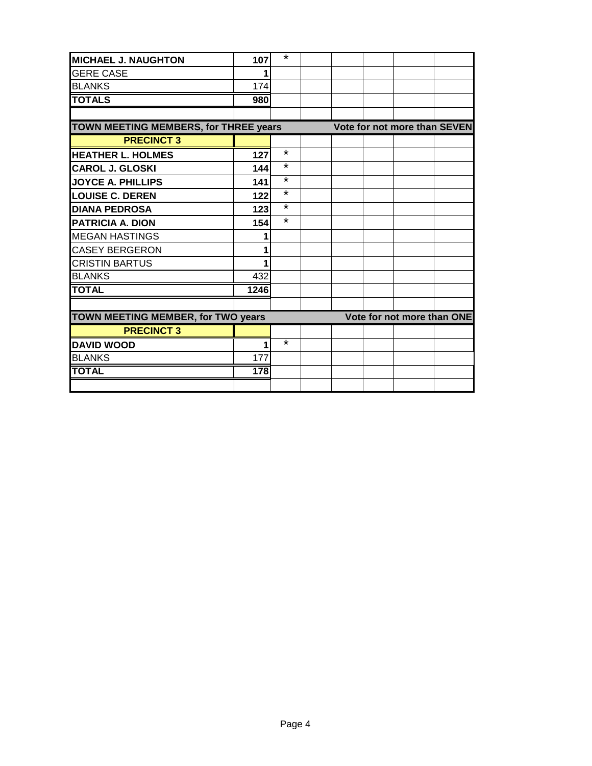| MICHAEL J. NAUGHTON                          | 107  | $\star$ |  |  |                              |
|----------------------------------------------|------|---------|--|--|------------------------------|
| <b>GERE CASE</b>                             |      |         |  |  |                              |
| <b>BLANKS</b>                                | 174  |         |  |  |                              |
| <b>TOTALS</b>                                | 980  |         |  |  |                              |
|                                              |      |         |  |  |                              |
| <b>TOWN MEETING MEMBERS, for THREE years</b> |      |         |  |  | Vote for not more than SEVEN |
| <b>PRECINCT 3</b>                            |      |         |  |  |                              |
| <b>HEATHER L. HOLMES</b>                     | 127  | $\star$ |  |  |                              |
| <b>CAROL J. GLOSKI</b>                       | 144  | $\star$ |  |  |                              |
| <b>JOYCE A. PHILLIPS</b>                     | 141  | $\star$ |  |  |                              |
| <b>LOUISE C. DEREN</b>                       | 122  | $\star$ |  |  |                              |
| <b>DIANA PEDROSA</b>                         | 123  | $\star$ |  |  |                              |
| <b>PATRICIA A. DION</b>                      | 154  | $\star$ |  |  |                              |
| <b>MEGAN HASTINGS</b>                        |      |         |  |  |                              |
| <b>CASEY BERGERON</b>                        |      |         |  |  |                              |
| <b>CRISTIN BARTUS</b>                        |      |         |  |  |                              |
| <b>BLANKS</b>                                | 432  |         |  |  |                              |
| <b>TOTAL</b>                                 | 1246 |         |  |  |                              |
|                                              |      |         |  |  |                              |
| TOWN MEETING MEMBER, for TWO years           |      |         |  |  | Vote for not more than ONE   |
| <b>PRECINCT 3</b>                            |      |         |  |  |                              |
| <b>DAVID WOOD</b>                            |      | $\star$ |  |  |                              |
| <b>BLANKS</b>                                | 177  |         |  |  |                              |
| <b>TOTAL</b>                                 | 178  |         |  |  |                              |
|                                              |      |         |  |  |                              |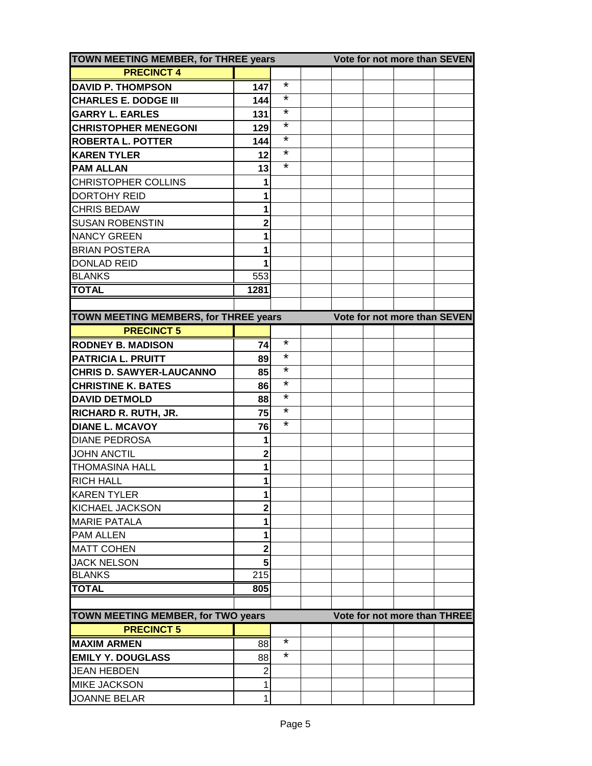| TOWN MEETING MEMBER, for THREE years      | Vote for not more than SEVEN |         |                              |
|-------------------------------------------|------------------------------|---------|------------------------------|
| <b>PRECINCT 4</b>                         |                              |         |                              |
| <b>DAVID P. THOMPSON</b>                  | 147                          | $\star$ |                              |
| <b>CHARLES E. DODGE III</b>               | 144                          | $\star$ |                              |
| <b>GARRY L. EARLES</b>                    | 131                          | $\star$ |                              |
| <b>CHRISTOPHER MENEGONI</b>               | 129                          | $\star$ |                              |
| <b>ROBERTA L. POTTER</b>                  | 144                          | $\star$ |                              |
| <b>KAREN TYLER</b>                        | 12                           | $\star$ |                              |
| <b>PAM ALLAN</b>                          | 13                           | $\star$ |                              |
| <b>CHRISTOPHER COLLINS</b>                | 1                            |         |                              |
| <b>DORTOHY REID</b>                       | 1                            |         |                              |
| <b>CHRIS BEDAW</b>                        | 1                            |         |                              |
| <b>SUSAN ROBENSTIN</b>                    | 2                            |         |                              |
| <b>NANCY GREEN</b>                        |                              |         |                              |
| <b>BRIAN POSTERA</b>                      |                              |         |                              |
| <b>DONLAD REID</b>                        |                              |         |                              |
| <b>BLANKS</b>                             | 553                          |         |                              |
| <b>TOTAL</b>                              | 1281                         |         |                              |
|                                           |                              |         |                              |
| TOWN MEETING MEMBERS, for THREE years     |                              |         | Vote for not more than SEVEN |
| <b>PRECINCT 5</b>                         |                              |         |                              |
| <b>RODNEY B. MADISON</b>                  | 74                           | $\star$ |                              |
| <b>PATRICIA L. PRUITT</b>                 | 89                           | $\star$ |                              |
| <b>CHRIS D. SAWYER-LAUCANNO</b>           | 85                           | $\star$ |                              |
| <b>CHRISTINE K. BATES</b>                 | 86                           | $\star$ |                              |
| <b>DAVID DETMOLD</b>                      | 88                           | $\star$ |                              |
| <b>RICHARD R. RUTH, JR.</b>               | 75                           | $\star$ |                              |
| <b>DIANE L. MCAVOY</b>                    | 76                           | $\star$ |                              |
| <b>DIANE PEDROSA</b>                      | 1                            |         |                              |
| <b>JOHN ANCTIL</b>                        | $\overline{\mathbf{c}}$      |         |                              |
| <b>THOMASINA HALL</b>                     | 1                            |         |                              |
| <b>RICH HALL</b>                          | 1                            |         |                              |
| <b>KAREN TYLER</b>                        | 1                            |         |                              |
| <b>KICHAEL JACKSON</b>                    | $\overline{\mathbf{2}}$      |         |                              |
| <b>MARIE PATALA</b>                       | 1                            |         |                              |
| <b>PAM ALLEN</b>                          | 1                            |         |                              |
| <b>MATT COHEN</b>                         | $\overline{\mathbf{c}}$      |         |                              |
| <b>JACK NELSON</b>                        | 5                            |         |                              |
| <b>BLANKS</b>                             | 215                          |         |                              |
| <b>TOTAL</b>                              | 805                          |         |                              |
|                                           |                              |         |                              |
| <b>TOWN MEETING MEMBER, for TWO years</b> |                              |         | Vote for not more than THREE |
| <b>PRECINCT 5</b>                         |                              |         |                              |
| <b>MAXIM ARMEN</b>                        | 88                           | $\star$ |                              |
| <b>EMILY Y. DOUGLASS</b>                  | 88                           | *       |                              |
| <b>JEAN HEBDEN</b>                        | $\overline{2}$               |         |                              |
| <b>MIKE JACKSON</b>                       | 1                            |         |                              |
| <b>JOANNE BELAR</b>                       |                              |         |                              |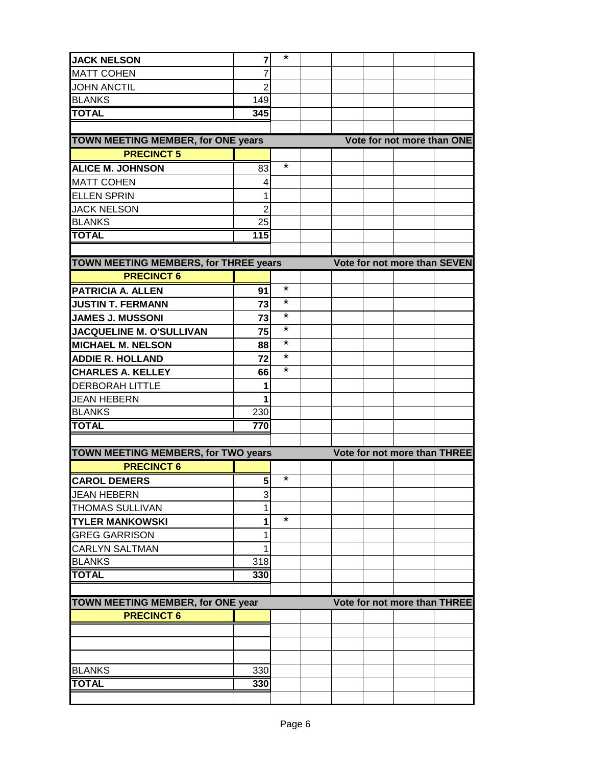| <b>JACK NELSON</b>                        | 7              | $\star$ |  |                              |  |
|-------------------------------------------|----------------|---------|--|------------------------------|--|
| <b>MATT COHEN</b>                         |                |         |  |                              |  |
| <b>JOHN ANCTIL</b>                        | $\overline{2}$ |         |  |                              |  |
| <b>BLANKS</b>                             | 149            |         |  |                              |  |
| <b>TOTAL</b>                              | 345            |         |  |                              |  |
|                                           |                |         |  |                              |  |
| <b>TOWN MEETING MEMBER, for ONE years</b> |                |         |  | Vote for not more than ONE   |  |
| <b>PRECINCT 5</b>                         |                |         |  |                              |  |
| <b>ALICE M. JOHNSON</b>                   | 83             | $\star$ |  |                              |  |
| <b>MATT COHEN</b>                         | 4              |         |  |                              |  |
| <b>ELLEN SPRIN</b>                        | 1              |         |  |                              |  |
| <b>JACK NELSON</b>                        | $\overline{2}$ |         |  |                              |  |
| <b>BLANKS</b>                             | 25             |         |  |                              |  |
| <b>TOTAL</b>                              | 115            |         |  |                              |  |
|                                           |                |         |  |                              |  |
| TOWN MEETING MEMBERS, for THREE years     |                |         |  | Vote for not more than SEVEN |  |
| <b>PRECINCT 6</b>                         |                |         |  |                              |  |
| <b>PATRICIA A. ALLEN</b>                  | 91             | $\star$ |  |                              |  |
| <b>JUSTIN T. FERMANN</b>                  | 73             | $\star$ |  |                              |  |
| <b>JAMES J. MUSSONI</b>                   | 73             | $\star$ |  |                              |  |
| <b>JACQUELINE M. O'SULLIVAN</b>           | 75             | $\star$ |  |                              |  |
| <b>MICHAEL M. NELSON</b>                  | 88             | $\star$ |  |                              |  |
| <b>ADDIE R. HOLLAND</b>                   | 72             | $\star$ |  |                              |  |
| <b>CHARLES A. KELLEY</b>                  | 66             | $\star$ |  |                              |  |
| <b>DERBORAH LITTLE</b>                    | 1              |         |  |                              |  |
| <b>JEAN HEBERN</b>                        | 1              |         |  |                              |  |
| <b>BLANKS</b>                             | 230            |         |  |                              |  |
| <b>TOTAL</b>                              | 770            |         |  |                              |  |
|                                           |                |         |  |                              |  |
| TOWN MEETING MEMBERS, for TWO years       |                |         |  | Vote for not more than THREE |  |
| <b>PRECINCT 6</b>                         |                |         |  |                              |  |
| <b>CAROL DEMERS</b>                       | 5              | $\star$ |  |                              |  |
| <b>JEAN HEBERN</b>                        | 3              |         |  |                              |  |
| <b>THOMAS SULLIVAN</b>                    | 1              |         |  |                              |  |
| <b>TYLER MANKOWSKI</b>                    | 1              | $\star$ |  |                              |  |
| <b>GREG GARRISON</b>                      | 1              |         |  |                              |  |
| <b>CARLYN SALTMAN</b>                     | 1              |         |  |                              |  |
| <b>BLANKS</b>                             | 318            |         |  |                              |  |
| <b>TOTAL</b>                              | 330            |         |  |                              |  |
|                                           |                |         |  |                              |  |
| TOWN MEETING MEMBER, for ONE year         |                |         |  | Vote for not more than THREE |  |
| <b>PRECINCT 6</b>                         |                |         |  |                              |  |
|                                           |                |         |  |                              |  |
|                                           |                |         |  |                              |  |
|                                           |                |         |  |                              |  |
| <b>BLANKS</b>                             | 330            |         |  |                              |  |
| <b>TOTAL</b>                              | 330            |         |  |                              |  |
|                                           |                |         |  |                              |  |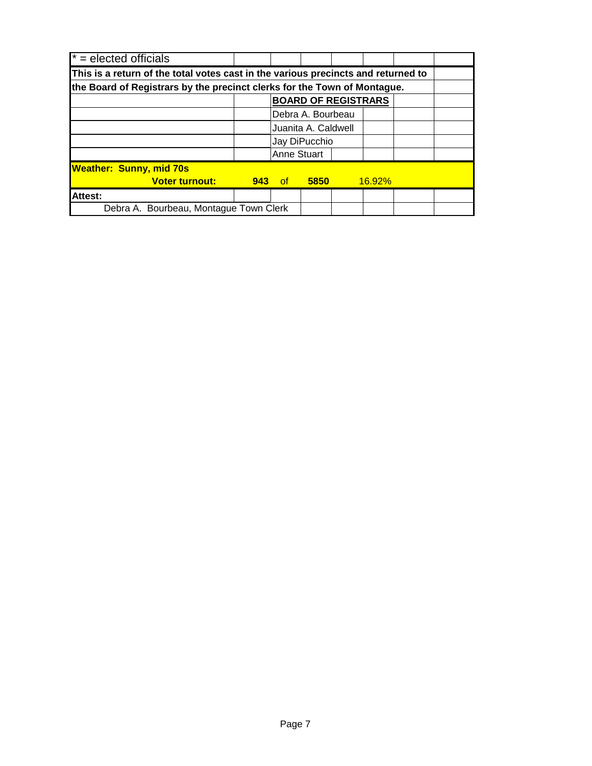| $* =$ elected officials                                                           |               |                     |             |  |               |  |  |  |  |
|-----------------------------------------------------------------------------------|---------------|---------------------|-------------|--|---------------|--|--|--|--|
| This is a return of the total votes cast in the various precincts and returned to |               |                     |             |  |               |  |  |  |  |
| the Board of Registrars by the precinct clerks for the Town of Montague.          |               |                     |             |  |               |  |  |  |  |
| <b>BOARD OF REGISTRARS</b>                                                        |               |                     |             |  |               |  |  |  |  |
|                                                                                   |               | Debra A. Bourbeau   |             |  |               |  |  |  |  |
|                                                                                   |               | Juanita A. Caldwell |             |  |               |  |  |  |  |
|                                                                                   | Jay DiPucchio |                     |             |  |               |  |  |  |  |
|                                                                                   |               | <b>Anne Stuart</b>  |             |  |               |  |  |  |  |
| <b>Weather: Sunny, mid 70s</b>                                                    |               |                     |             |  |               |  |  |  |  |
| <b>Voter turnout:</b>                                                             | 943           | of -                | <b>5850</b> |  | <b>16.92%</b> |  |  |  |  |
| <b>Attest:</b>                                                                    |               |                     |             |  |               |  |  |  |  |
| Debra A. Bourbeau, Montague Town Clerk                                            |               |                     |             |  |               |  |  |  |  |